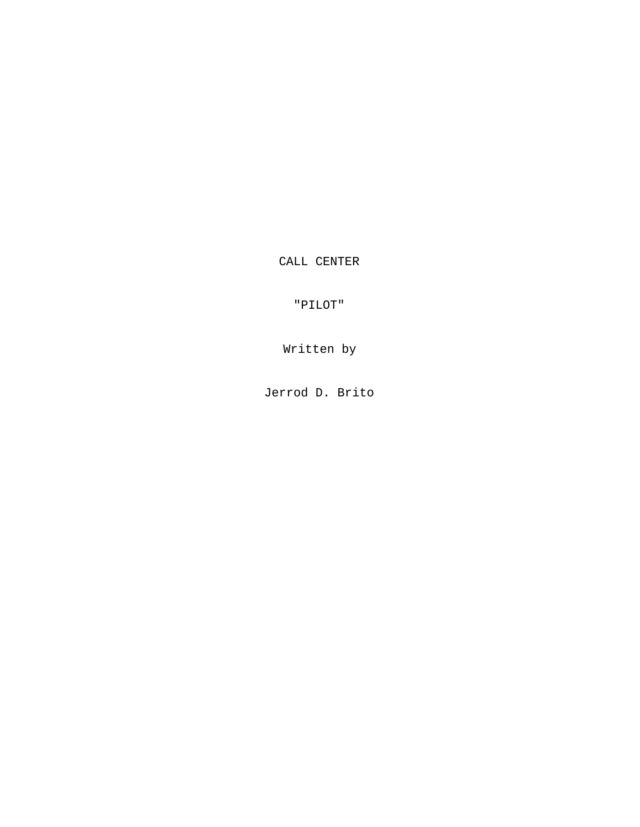CALL CENTER

"PILOT"

Written by

Jerrod D. Brito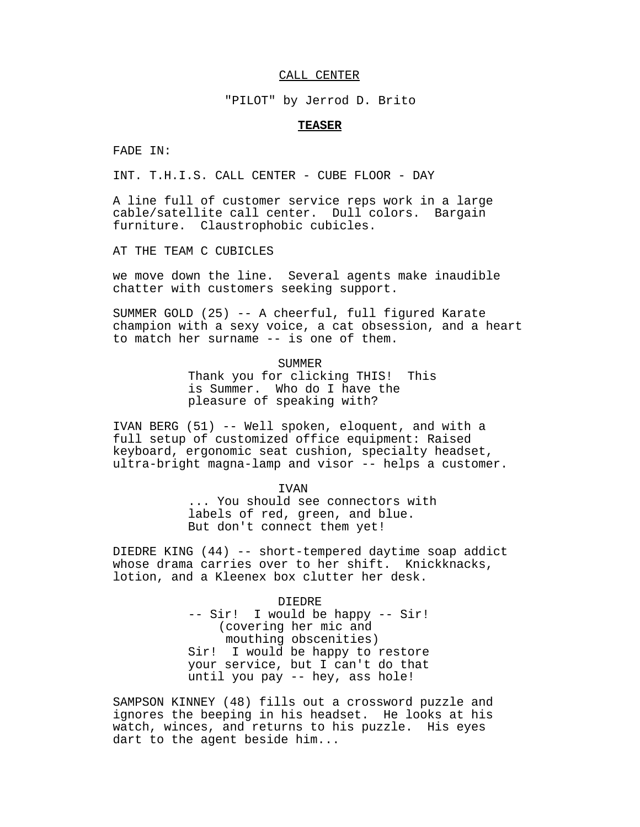## CALL CENTER

"PILOT" by Jerrod D. Brito

## **TEASER**

FADE IN:

INT. T.H.I.S. CALL CENTER - CUBE FLOOR - DAY

A line full of customer service reps work in a large cable/satellite call center. Dull colors. Bargain furniture. Claustrophobic cubicles.

AT THE TEAM C CUBICLES

we move down the line. Several agents make inaudible chatter with customers seeking support.

SUMMER GOLD (25) -- A cheerful, full figured Karate champion with a sexy voice, a cat obsession, and a heart to match her surname -- is one of them.

> SUMMER Thank you for clicking THIS! This is Summer. Who do I have the pleasure of speaking with?

IVAN BERG (51) -- Well spoken, eloquent, and with a full setup of customized office equipment: Raised keyboard, ergonomic seat cushion, specialty headset, ultra-bright magna-lamp and visor -- helps a customer.

IVAN

... You should see connectors with labels of red, green, and blue. But don't connect them yet!

DIEDRE KING (44) -- short-tempered daytime soap addict whose drama carries over to her shift. Knickknacks, lotion, and a Kleenex box clutter her desk.

> DIEDRE -- Sir! I would be happy -- Sir! (covering her mic and mouthing obscenities) Sir! I would be happy to restore your service, but I can't do that until you pay -- hey, ass hole!

SAMPSON KINNEY (48) fills out a crossword puzzle and ignores the beeping in his headset. He looks at his watch, winces, and returns to his puzzle. His eyes dart to the agent beside him...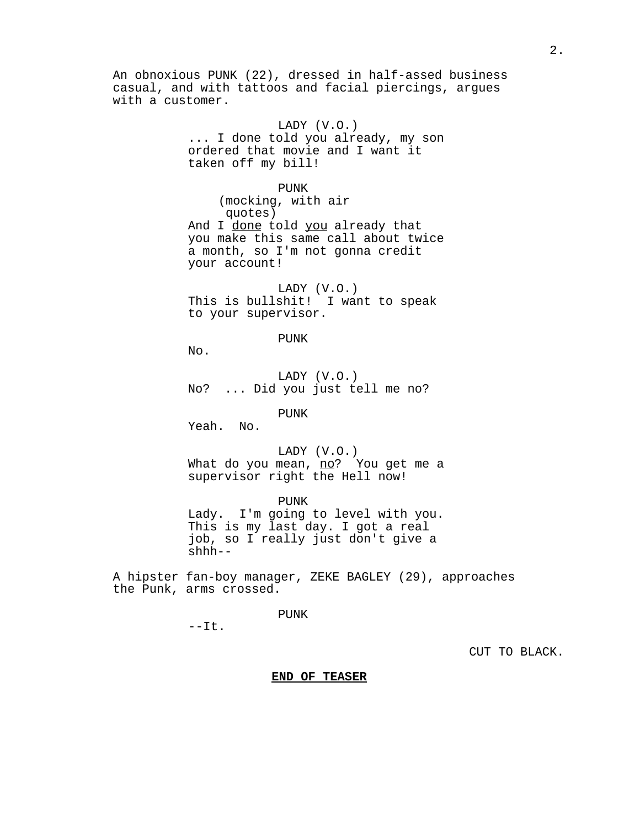An obnoxious PUNK (22), dressed in half-assed business casual, and with tattoos and facial piercings, argues with a customer. LADY (V.O.)

... I done told you already, my son ordered that movie and I want it taken off my bill!

PUNK (mocking, with air quotes) And I done told you already that you make this same call about twice a month, so I'm not gonna credit your account!

LADY (V.O.) This is bullshit! I want to speak to your supervisor.

PUNK

No.

LADY (V.O.) No? ... Did you just tell me no?

PUNK

Yeah. No.

LADY (V.O.) What do you mean, no? You get me a supervisor right the Hell now!

PUNK Lady. I'm going to level with you. This is my last day. I got a real job, so I really just don't give a shhh--

A hipster fan-boy manager, ZEKE BAGLEY (29), approaches the Punk, arms crossed.

PUNK

 $--It.$ 

CUT TO BLACK.

**END OF TEASER**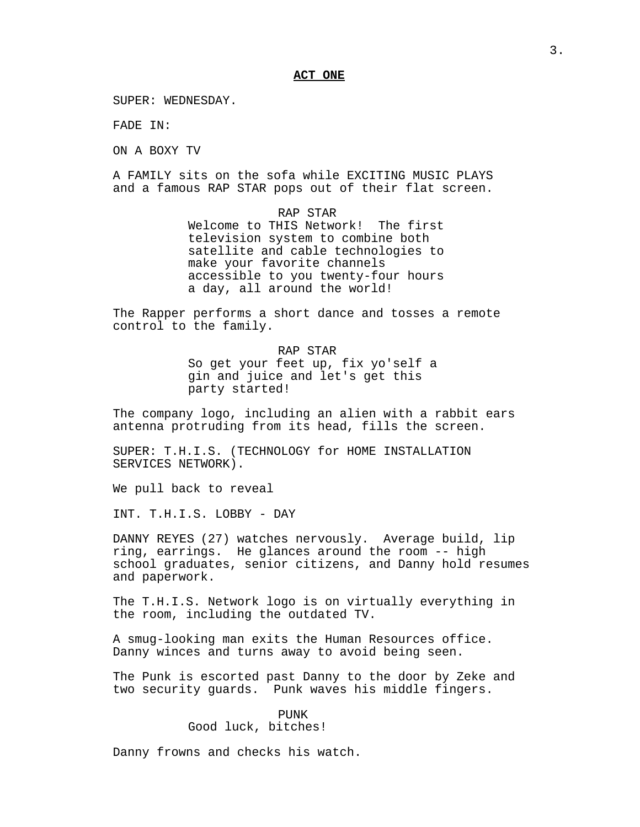## **ACT ONE**

SUPER: WEDNESDAY.

FADE IN:

ON A BOXY TV

A FAMILY sits on the sofa while EXCITING MUSIC PLAYS and a famous RAP STAR pops out of their flat screen.

> RAP STAR Welcome to THIS Network! The first television system to combine both satellite and cable technologies to make your favorite channels accessible to you twenty-four hours a day, all around the world!

The Rapper performs a short dance and tosses a remote control to the family.

> RAP STAR So get your feet up, fix yo'self a gin and juice and let's get this party started!

The company logo, including an alien with a rabbit ears antenna protruding from its head, fills the screen.

SUPER: T.H.I.S. (TECHNOLOGY for HOME INSTALLATION SERVICES NETWORK).

We pull back to reveal

INT. T.H.I.S. LOBBY - DAY

DANNY REYES (27) watches nervously. Average build, lip ring, earrings. He glances around the room -- high school graduates, senior citizens, and Danny hold resumes and paperwork.

The T.H.I.S. Network logo is on virtually everything in the room, including the outdated TV.

A smug-looking man exits the Human Resources office. Danny winces and turns away to avoid being seen.

The Punk is escorted past Danny to the door by Zeke and two security guards. Punk waves his middle fingers.

## PUNK

Good luck, bitches!

Danny frowns and checks his watch.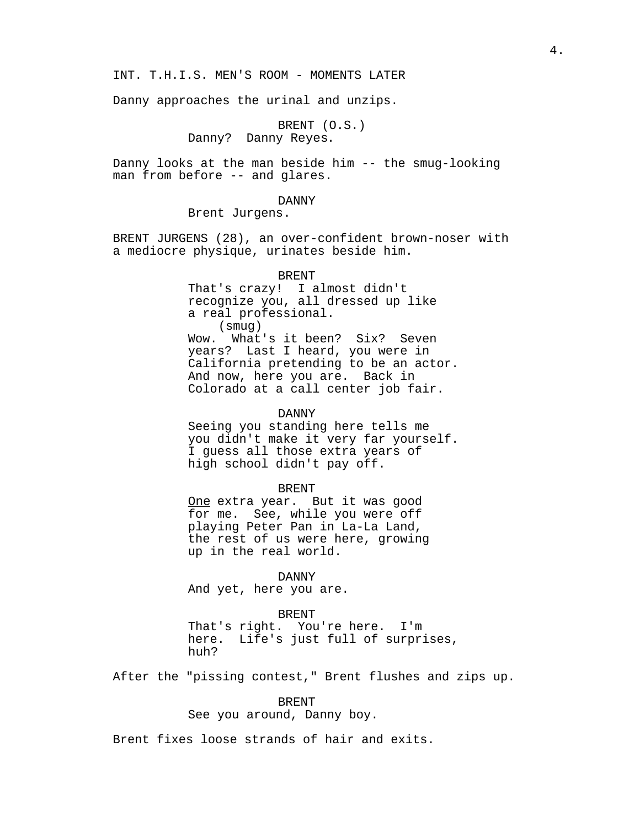INT. T.H.I.S. MEN'S ROOM - MOMENTS LATER

Danny approaches the urinal and unzips.

BRENT (O.S.) Danny? Danny Reyes.

Danny looks at the man beside him -- the smug-looking man from before -- and glares.

#### DANNY

Brent Jurgens.

BRENT JURGENS (28), an over-confident brown-noser with a mediocre physique, urinates beside him.

BRENT

That's crazy! I almost didn't recognize you, all dressed up like a real professional. (smug) Wow. What's it been? Six? Seven<br>years? Last I heard, you were in Last I heard, you were in California pretending to be an actor. And now, here you are. Back in Colorado at a call center job fair.

### DANNY

Seeing you standing here tells me you didn't make it very far yourself. I guess all those extra years of high school didn't pay off.

### BRENT

One extra year. But it was good for me. See, while you were off playing Peter Pan in La-La Land, the rest of us were here, growing up in the real world.

#### DANNY

And yet, here you are.

#### BRENT

That's right. You're here. I'm here. Life's just full of surprises, huh?

After the "pissing contest," Brent flushes and zips up.

#### BRENT

See you around, Danny boy.

Brent fixes loose strands of hair and exits.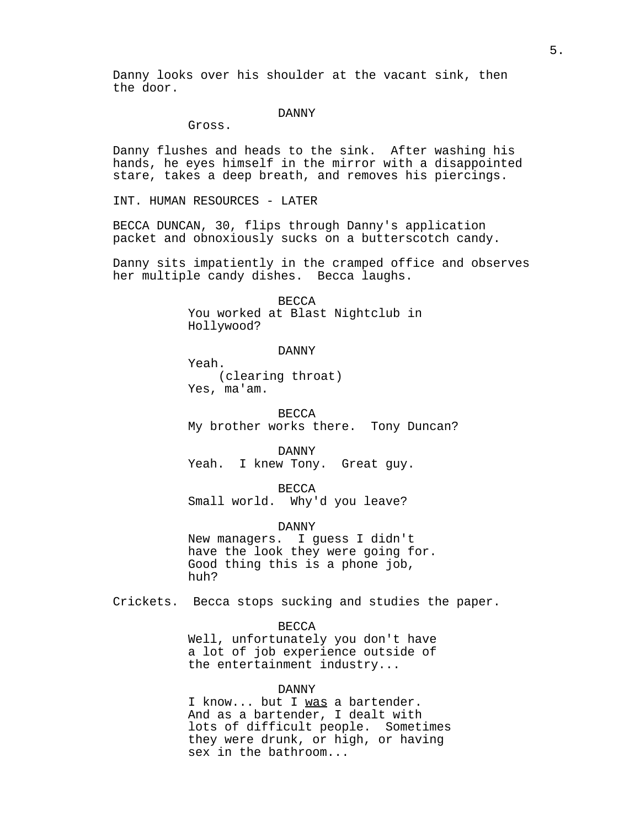Danny looks over his shoulder at the vacant sink, then the door.

#### DANNY

Gross.

Danny flushes and heads to the sink. After washing his hands, he eyes himself in the mirror with a disappointed stare, takes a deep breath, and removes his piercings.

INT. HUMAN RESOURCES - LATER

BECCA DUNCAN, 30, flips through Danny's application packet and obnoxiously sucks on a butterscotch candy.

Danny sits impatiently in the cramped office and observes her multiple candy dishes. Becca laughs.

> **BECCA** You worked at Blast Nightclub in Hollywood?

> > DANNY

Yeah. (clearing throat) Yes, ma'am.

**BECCA** My brother works there. Tony Duncan?

DANNY Yeah. I knew Tony. Great guy.

**BECCA** Small world. Why'd you leave?

DANNY New managers. I guess I didn't have the look they were going for.

Good thing this is a phone job, huh?

Crickets. Becca stops sucking and studies the paper.

## BECCA

Well, unfortunately you don't have a lot of job experience outside of the entertainment industry...

## DANNY

I know... but I was a bartender. And as a bartender, I dealt with lots of difficult people. Sometimes they were drunk, or high, or having sex in the bathroom...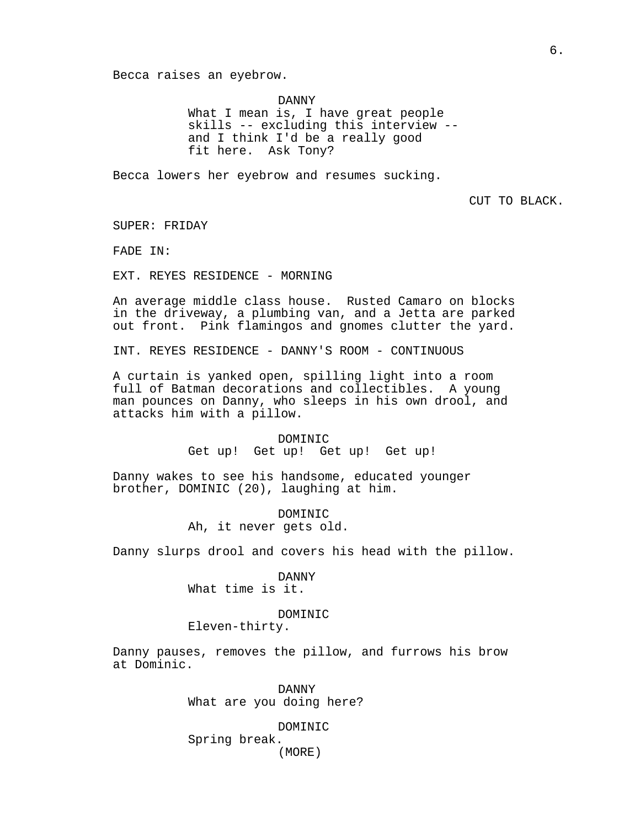Becca raises an eyebrow.

DANNY What I mean is, I have great people skills -- excluding this interview - and I think I'd be a really good fit here. Ask Tony?

Becca lowers her eyebrow and resumes sucking.

CUT TO BLACK.

SUPER: FRIDAY

FADE IN:

EXT. REYES RESIDENCE - MORNING

An average middle class house. Rusted Camaro on blocks in the driveway, a plumbing van, and a Jetta are parked out front. Pink flamingos and gnomes clutter the yard.

INT. REYES RESIDENCE - DANNY'S ROOM - CONTINUOUS

A curtain is yanked open, spilling light into a room full of Batman decorations and collectibles. A young man pounces on Danny, who sleeps in his own drool, and attacks him with a pillow.

> DOMINIC Get up! Get up! Get up! Get up!

Danny wakes to see his handsome, educated younger brother, DOMINIC (20), laughing at him.

> DOMINIC Ah, it never gets old.

Danny slurps drool and covers his head with the pillow.

### DANNY

What time is it.

#### DOMINIC

Eleven-thirty.

Danny pauses, removes the pillow, and furrows his brow at Dominic.

> DANNY What are you doing here?

DOMINIC Spring break. (MORE)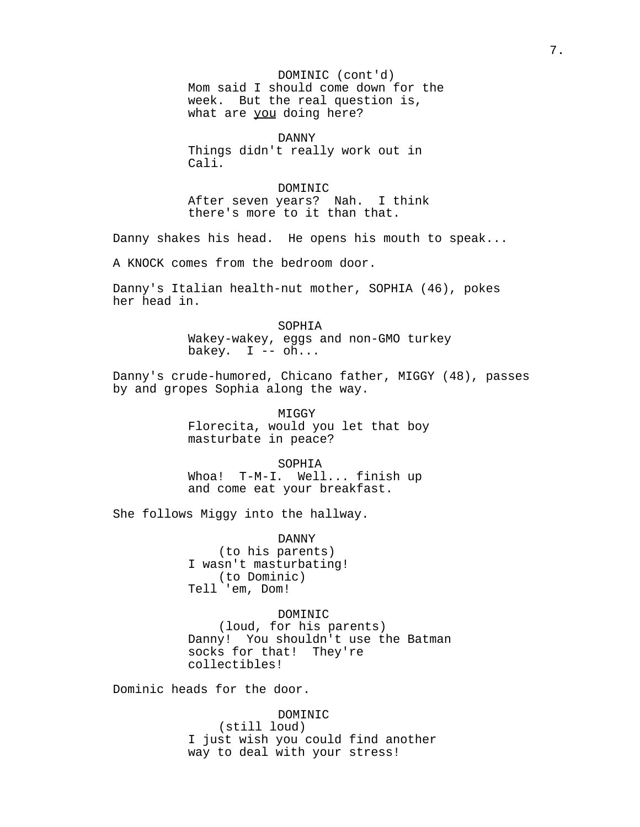DOMINIC (cont'd) Mom said I should come down for the week. But the real question is, what are you doing here?

DANNY Things didn't really work out in Cali.

DOMINIC After seven years? Nah. I think there's more to it than that.

Danny shakes his head. He opens his mouth to speak...

A KNOCK comes from the bedroom door.

Danny's Italian health-nut mother, SOPHIA (46), pokes her head in.

> SOPHIA Wakey-wakey, eggs and non-GMO turkey bakey.  $I$  --  $oh...$

Danny's crude-humored, Chicano father, MIGGY (48), passes by and gropes Sophia along the way.

> MIGGY Florecita, would you let that boy masturbate in peace?

SOPHIA Whoa! T-M-I. Well... finish up and come eat your breakfast.

She follows Miggy into the hallway.

DANNY (to his parents) I wasn't masturbating! (to Dominic) Tell 'em, Dom!

DOMINIC

(loud, for his parents) Danny! You shouldn't use the Batman socks for that! They're collectibles!

Dominic heads for the door.

DOMINIC

(still loud) I just wish you could find another way to deal with your stress!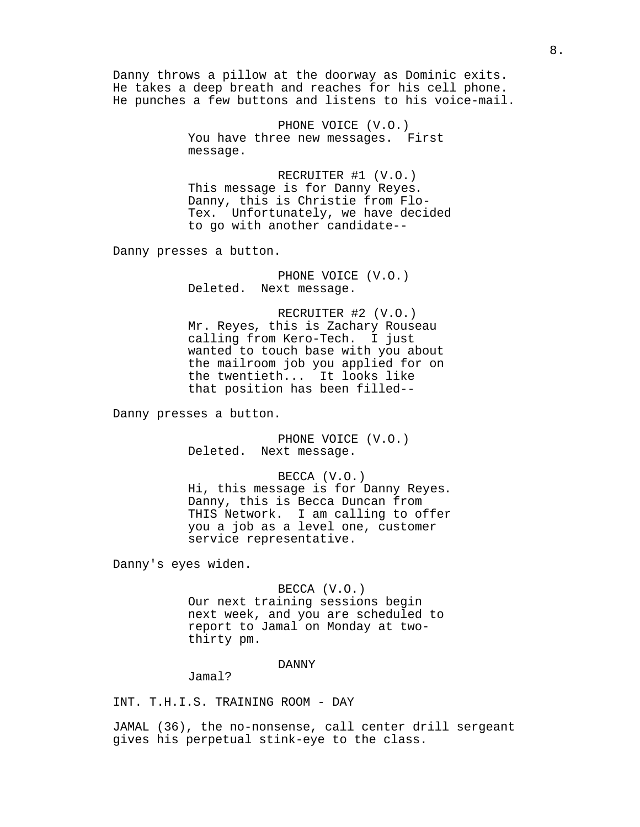Danny throws a pillow at the doorway as Dominic exits. He takes a deep breath and reaches for his cell phone. He punches a few buttons and listens to his voice-mail.

> PHONE VOICE (V.O.) You have three new messages. First message.

RECRUITER #1 (V.O.) This message is for Danny Reyes. Danny, this is Christie from Flo-Tex. Unfortunately, we have decided to go with another candidate--

Danny presses a button.

PHONE VOICE (V.O.) Deleted. Next message.

RECRUITER #2 (V.O.) Mr. Reyes, this is Zachary Rouseau calling from Kero-Tech. I just wanted to touch base with you about the mailroom job you applied for on the twentieth... It looks like that position has been filled--

Danny presses a button.

PHONE VOICE (V.O.) Deleted. Next message.

BECCA (V.O.) Hi, this message is for Danny Reyes. Danny, this is Becca Duncan from THIS Network. I am calling to offer you a job as a level one, customer service representative.

Danny's eyes widen.

### BECCA (V.O.)

Our next training sessions begin next week, and you are scheduled to report to Jamal on Monday at twothirty pm.

#### DANNY

Jamal?

INT. T.H.I.S. TRAINING ROOM - DAY

JAMAL (36), the no-nonsense, call center drill sergeant gives his perpetual stink-eye to the class.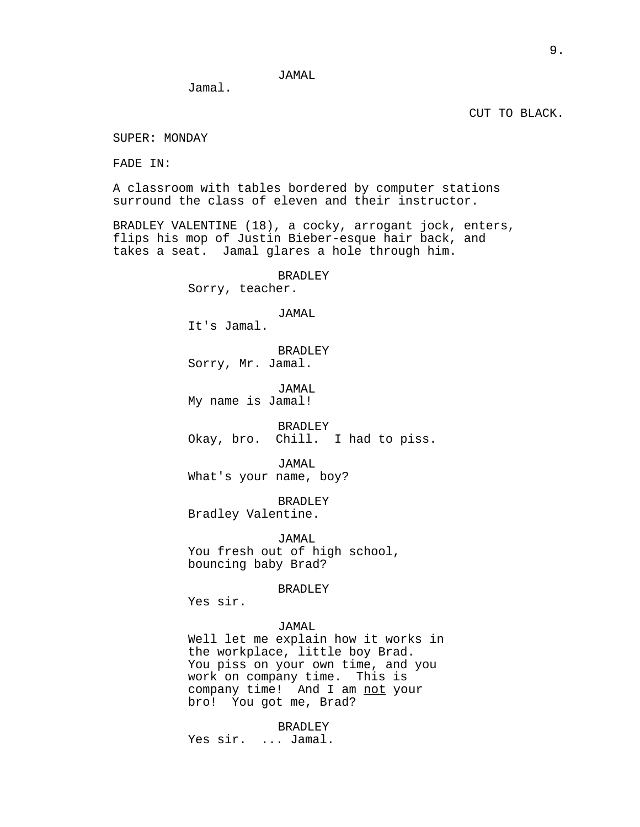Jamal.

CUT TO BLACK.

SUPER: MONDAY

FADE IN:

A classroom with tables bordered by computer stations surround the class of eleven and their instructor.

BRADLEY VALENTINE (18), a cocky, arrogant jock, enters, flips his mop of Justin Bieber-esque hair back, and takes a seat. Jamal glares a hole through him.

BRADLEY

Sorry, teacher.

## JAMAL

It's Jamal.

BRADLEY Sorry, Mr. Jamal.

JAMAL My name is Jamal!

BRADLEY Okay, bro. Chill. I had to piss.

JAMAL What's your name, boy?

BRADLEY Bradley Valentine.

JAMAL You fresh out of high school, bouncing baby Brad?

BRADLEY

Yes sir.

## JAMAL

Well let me explain how it works in the workplace, little boy Brad. You piss on your own time, and you work on company time. This is company time! And I am not your bro! You got me, Brad?

BRADLEY Yes sir. ... Jamal.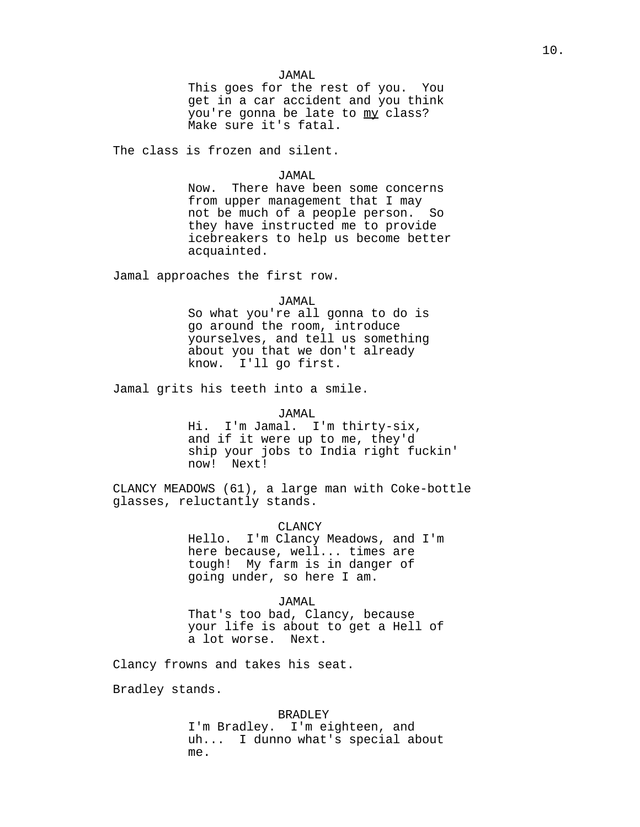This goes for the rest of you. You get in a car accident and you think you're gonna be late to my class? Make sure it's fatal.

The class is frozen and silent.

#### JAMAL

Now. There have been some concerns from upper management that I may not be much of a people person. So they have instructed me to provide icebreakers to help us become better acquainted.

Jamal approaches the first row.

### JAMAL

So what you're all gonna to do is go around the room, introduce yourselves, and tell us something about you that we don't already know. I'll go first.

Jamal grits his teeth into a smile.

#### JAMAL

Hi. I'm Jamal. I'm thirty-six, and if it were up to me, they'd ship your jobs to India right fuckin' now! Next!

CLANCY MEADOWS (61), a large man with Coke-bottle glasses, reluctantly stands.

CLANCY

Hello. I'm Clancy Meadows, and I'm here because, well... times are tough! My farm is in danger of going under, so here I am.

## JAMAL

That's too bad, Clancy, because your life is about to get a Hell of a lot worse. Next.

Clancy frowns and takes his seat.

Bradley stands.

#### BRADLEY

I'm Bradley. I'm eighteen, and uh... I dunno what's special about me.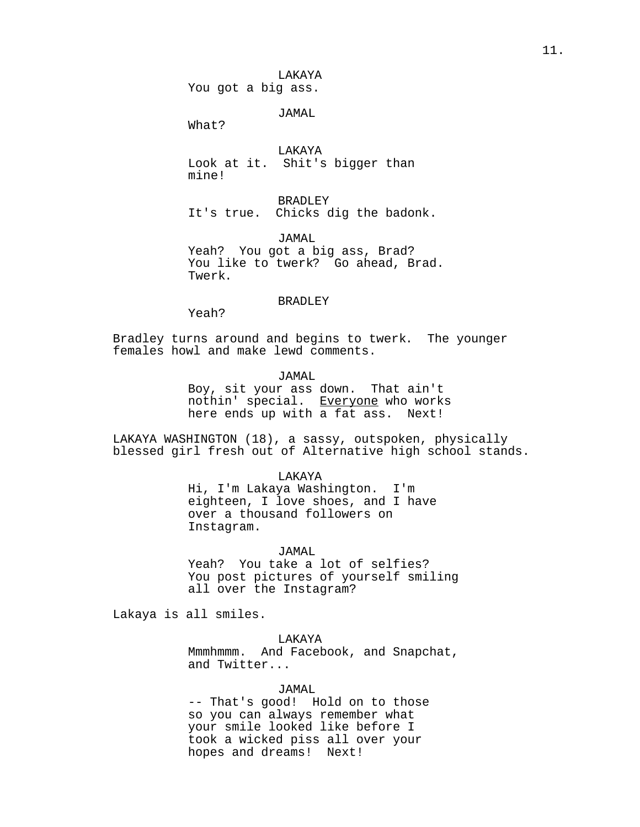You got a big ass.

JAMAL

What?

LAKAYA Look at it. Shit's bigger than mine!

BRADLEY It's true. Chicks dig the badonk.

JAMAL Yeah? You got a big ass, Brad? You like to twerk? Go ahead, Brad. Twerk.

## BRADLEY

Yeah?

Bradley turns around and begins to twerk. The younger females howl and make lewd comments.

JAMAL

Boy, sit your ass down. That ain't nothin' special. Everyone who works here ends up with a fat ass. Next!

LAKAYA WASHINGTON (18), a sassy, outspoken, physically blessed girl fresh out of Alternative high school stands.

#### LAKAYA

Hi, I'm Lakaya Washington. I'm eighteen, I love shoes, and I have over a thousand followers on Instagram.

### JAMAL

Yeah? You take a lot of selfies? You post pictures of yourself smiling all over the Instagram?

Lakaya is all smiles.

LAKAYA

Mmmhmmm. And Facebook, and Snapchat, and Twitter...

JAMAL

-- That's good! Hold on to those so you can always remember what your smile looked like before I took a wicked piss all over your hopes and dreams! Next!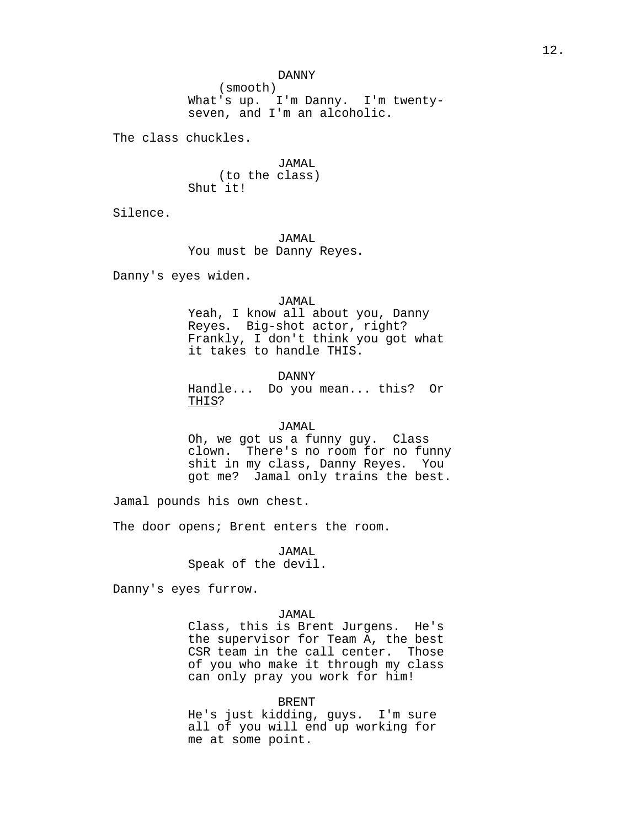DANNY

(smooth) What's up. I'm Danny. I'm twentyseven, and I'm an alcoholic.

The class chuckles.

JAMAL (to the class) Shut it!

Silence.

JAMAL You must be Danny Reyes.

Danny's eyes widen.

#### JAMAL

Yeah, I know all about you, Danny Reyes. Big-shot actor, right? Frankly, I don't think you got what it takes to handle THIS.

DANNY

Handle... Do you mean... this? Or THIS?

### JAMAL

Oh, we got us a funny guy. Class clown. There's no room for no funny shit in my class, Danny Reyes. You got me? Jamal only trains the best.

Jamal pounds his own chest.

The door opens; Brent enters the room.

JAMAL Speak of the devil.

Danny's eyes furrow.

#### JAMAL

Class, this is Brent Jurgens. He's the supervisor for Team A, the best CSR team in the call center. Those of you who make it through my class can only pray you work for him!

#### BRENT

He's just kidding, guys. I'm sure all of you will end up working for me at some point.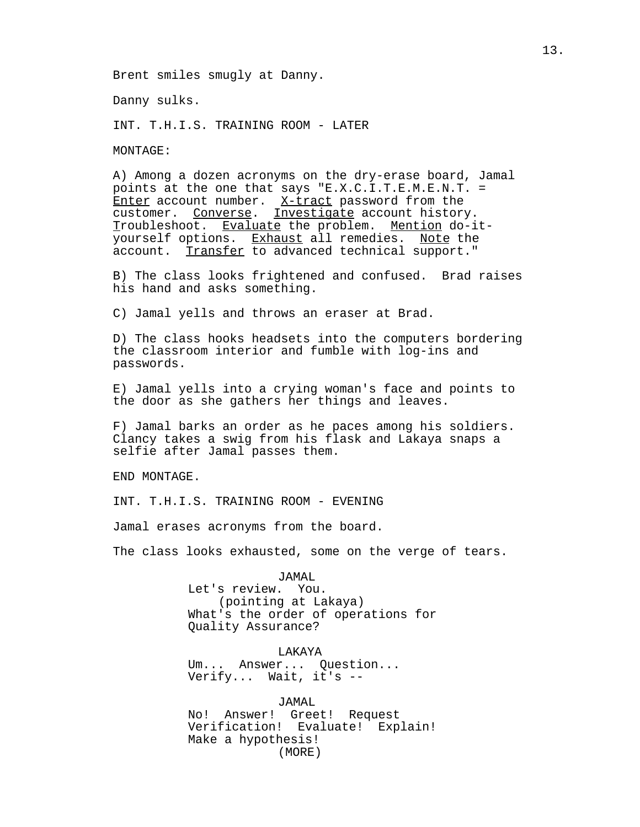Brent smiles smugly at Danny.

Danny sulks.

INT. T.H.I.S. TRAINING ROOM - LATER

MONTAGE:

A) Among a dozen acronyms on the dry-erase board, Jamal points at the one that says "E.X.C.I.T.E.M.E.N.T. = Enter account number.  $X$ -tract password from the customer. Converse. Investigate account history. Troubleshoot. Evaluate the problem. Mention do-ityourself options. Exhaust all remedies. Note the account. Transfer to advanced technical support."

B) The class looks frightened and confused. Brad raises his hand and asks something.

C) Jamal yells and throws an eraser at Brad.

D) The class hooks headsets into the computers bordering the classroom interior and fumble with log-ins and passwords.

E) Jamal yells into a crying woman's face and points to the door as she gathers her things and leaves.

F) Jamal barks an order as he paces among his soldiers. Clancy takes a swig from his flask and Lakaya snaps a selfie after Jamal passes them.

END MONTAGE.

INT. T.H.I.S. TRAINING ROOM - EVENING

Jamal erases acronyms from the board.

The class looks exhausted, some on the verge of tears.

JAMAL Let's review. You. (pointing at Lakaya) What's the order of operations for Quality Assurance?

LAKAYA Um... Answer... Question... Verify... Wait, it's --

JAMAL No! Answer! Greet! Request Verification! Evaluate! Explain! Make a hypothesis! (MORE)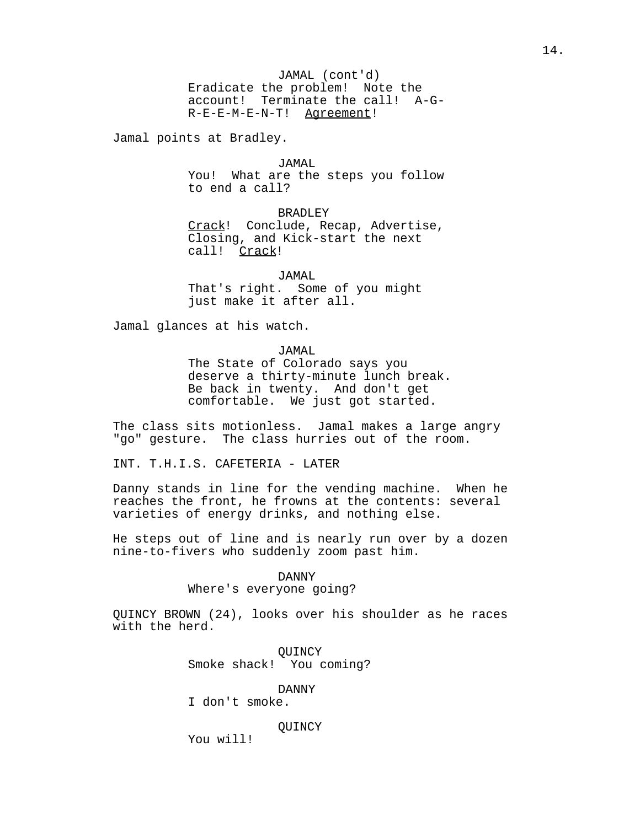JAMAL (cont'd) Eradicate the problem! Note the account! Terminate the call! A-G-R-E-E-M-E-N-T! Agreement!

Jamal points at Bradley.

JAMAL

You! What are the steps you follow to end a call?

BRADLEY Crack! Conclude, Recap, Advertise, Closing, and Kick-start the next call! Crack!

JAMAL That's right. Some of you might just make it after all.

Jamal glances at his watch.

JAMAL

The State of Colorado says you deserve a thirty-minute lunch break. Be back in twenty. And don't get comfortable. We just got started.

The class sits motionless. Jamal makes a large angry "go" gesture. The class hurries out of the room.

INT. T.H.I.S. CAFETERIA - LATER

Danny stands in line for the vending machine. When he reaches the front, he frowns at the contents: several varieties of energy drinks, and nothing else.

He steps out of line and is nearly run over by a dozen nine-to-fivers who suddenly zoom past him.

#### DANNY

Where's everyone going?

QUINCY BROWN (24), looks over his shoulder as he races with the herd.

> **OUINCY** Smoke shack! You coming?

> > DANNY

I don't smoke.

#### **OUINCY**

You will!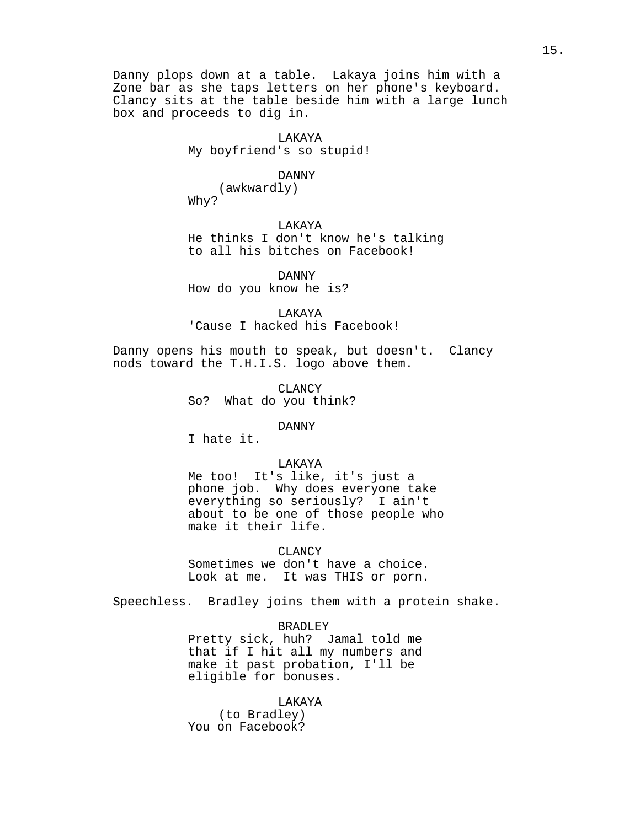Danny plops down at a table. Lakaya joins him with a Zone bar as she taps letters on her phone's keyboard. Clancy sits at the table beside him with a large lunch box and proceeds to dig in.

> LAKAYA My boyfriend's so stupid!

#### DANNY

(awkwardly) Why?

LAKAYA He thinks I don't know he's talking to all his bitches on Facebook!

DANNY How do you know he is?

LAKAYA 'Cause I hacked his Facebook!

Danny opens his mouth to speak, but doesn't. Clancy nods toward the T.H.I.S. logo above them.

> CLANCY So? What do you think?

## DANNY

I hate it.

## LAKAYA

Me too! It's like, it's just a phone job. Why does everyone take everything so seriously? I ain't about to be one of those people who make it their life.

CLANCY

Sometimes we don't have a choice. Look at me. It was THIS or porn.

Speechless. Bradley joins them with a protein shake.

## BRADLEY

Pretty sick, huh? Jamal told me that if I hit all my numbers and make it past probation, I'll be eligible for bonuses.

## LAKAYA

(to Bradley) You on Facebook?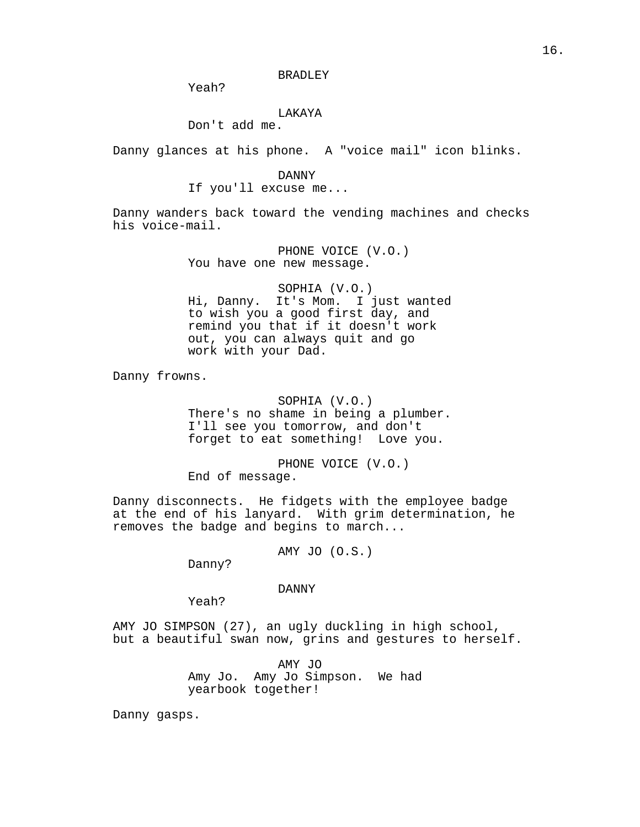Yeah?

### LAKAYA

Don't add me.

Danny glances at his phone. A "voice mail" icon blinks.

#### DANNY

## If you'll excuse me...

Danny wanders back toward the vending machines and checks his voice-mail.

> PHONE VOICE (V.O.) You have one new message.

SOPHIA (V.O.) Hi, Danny. It's Mom. I just wanted to wish you a good first day, and remind you that if it doesn't work out, you can always quit and go work with your Dad.

Danny frowns.

SOPHIA (V.O.) There's no shame in being a plumber. I'll see you tomorrow, and don't forget to eat something! Love you.

PHONE VOICE (V.O.) End of message.

Danny disconnects. He fidgets with the employee badge at the end of his lanyard. With grim determination, he removes the badge and begins to march...

AMY JO (O.S.)

Danny?

### DANNY

Yeah?

AMY JO SIMPSON (27), an ugly duckling in high school, but a beautiful swan now, grins and gestures to herself.

> AMY JO Amy Jo. Amy Jo Simpson. We had yearbook together!

Danny gasps.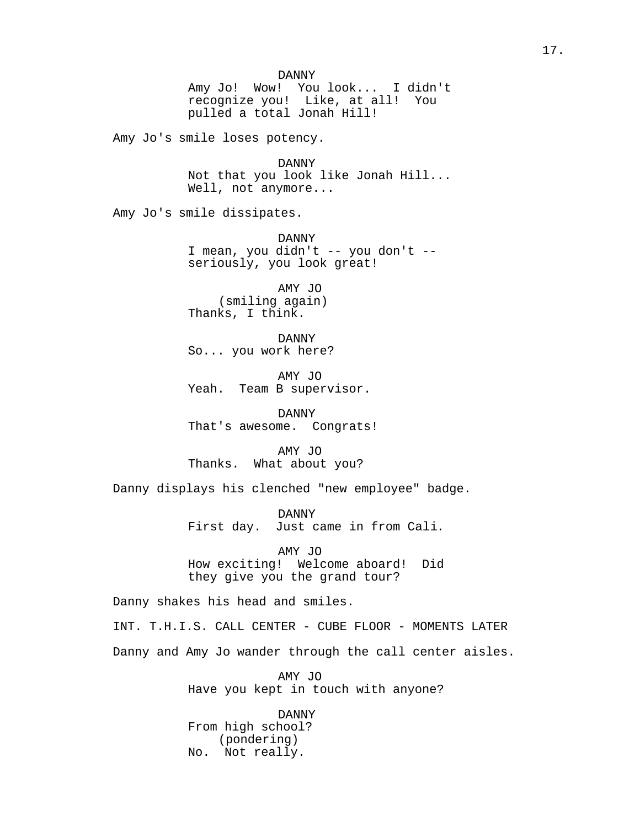Amy Jo's smile loses potency.

DANNY Not that you look like Jonah Hill... Well, not anymore...

Amy Jo's smile dissipates.

DANNY I mean, you didn't -- you don't - seriously, you look great!

AMY JO (smiling again) Thanks, I think.

DANNY So... you work here?

AMY JO Yeah. Team B supervisor.

DANNY That's awesome. Congrats!

AMY JO Thanks. What about you?

Danny displays his clenched "new employee" badge.

DANNY First day. Just came in from Cali.

AMY JO How exciting! Welcome aboard! Did they give you the grand tour?

Danny shakes his head and smiles.

INT. T.H.I.S. CALL CENTER - CUBE FLOOR - MOMENTS LATER Danny and Amy Jo wander through the call center aisles.

> AMY JO Have you kept in touch with anyone?

DANNY From high school? (pondering) No. Not really.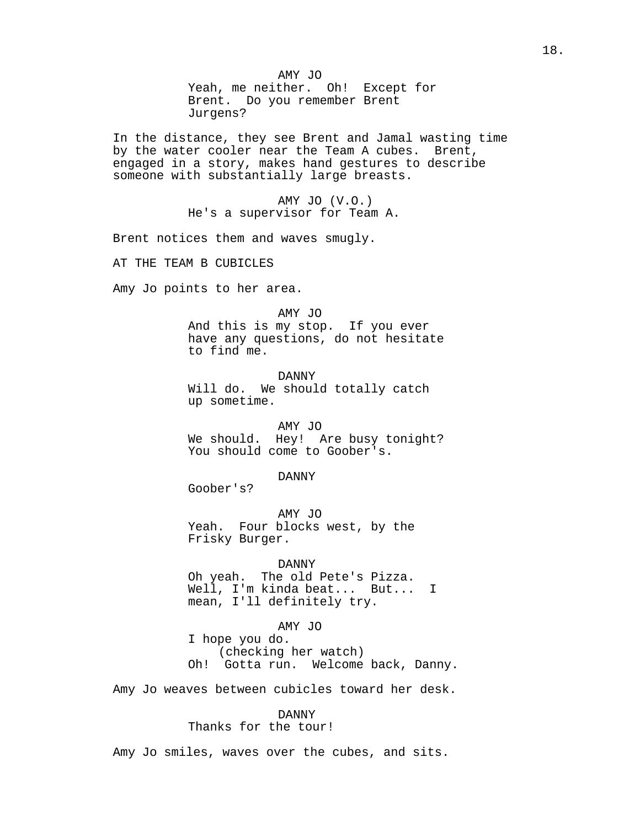AMY JO Yeah, me neither. Oh! Except for Brent. Do you remember Brent Jurgens?

In the distance, they see Brent and Jamal wasting time by the water cooler near the Team A cubes. Brent, engaged in a story, makes hand gestures to describe someone with substantially large breasts.

> AMY JO (V.O.) He's a supervisor for Team A.

Brent notices them and waves smugly.

AT THE TEAM B CUBICLES

Amy Jo points to her area.

#### AMY JO

And this is my stop. If you ever have any questions, do not hesitate to find me.

DANNY Will do. We should totally catch up sometime.

AMY JO We should. Hey! Are busy tonight? You should come to Goober's.

DANNY

Goober's?

AMY JO Yeah. Four blocks west, by the Frisky Burger.

DANNY Oh yeah. The old Pete's Pizza. Well, I'm kinda beat... But... I mean, I'll definitely try.

AMY JO I hope you do. (checking her watch) Oh! Gotta run. Welcome back, Danny.

Amy Jo weaves between cubicles toward her desk.

DANNY Thanks for the tour!

Amy Jo smiles, waves over the cubes, and sits.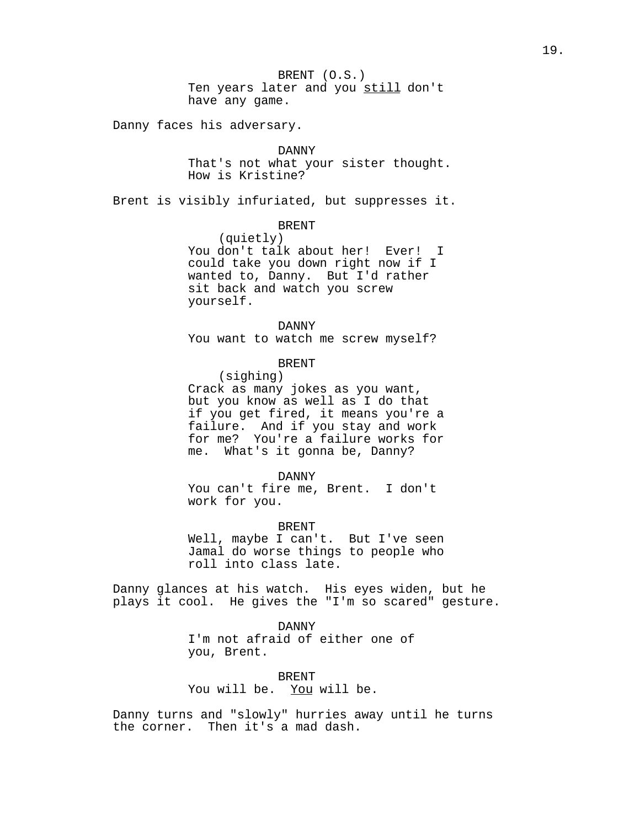BRENT (O.S.) Ten years later and you still don't have any game.

Danny faces his adversary.

#### DANNY

That's not what your sister thought. How is Kristine?

Brent is visibly infuriated, but suppresses it.

### BRENT

(quietly) You don't talk about her! Ever! I could take you down right now if I wanted to, Danny. But I'd rather sit back and watch you screw yourself.

DANNY

You want to watch me screw myself?

## BRENT

(sighing) Crack as many jokes as you want, but you know as well as I do that if you get fired, it means you're a failure. And if you stay and work for me? You're a failure works for me. What's it gonna be, Danny?

DANNY

You can't fire me, Brent. I don't work for you.

BRENT

Well, maybe I can't. But I've seen Jamal do worse things to people who roll into class late.

Danny glances at his watch. His eyes widen, but he plays it cool. He gives the "I'm so scared" gesture.

> DANNY I'm not afraid of either one of you, Brent.

BRENT You will be. You will be.

Danny turns and "slowly" hurries away until he turns the corner. Then it's a mad dash.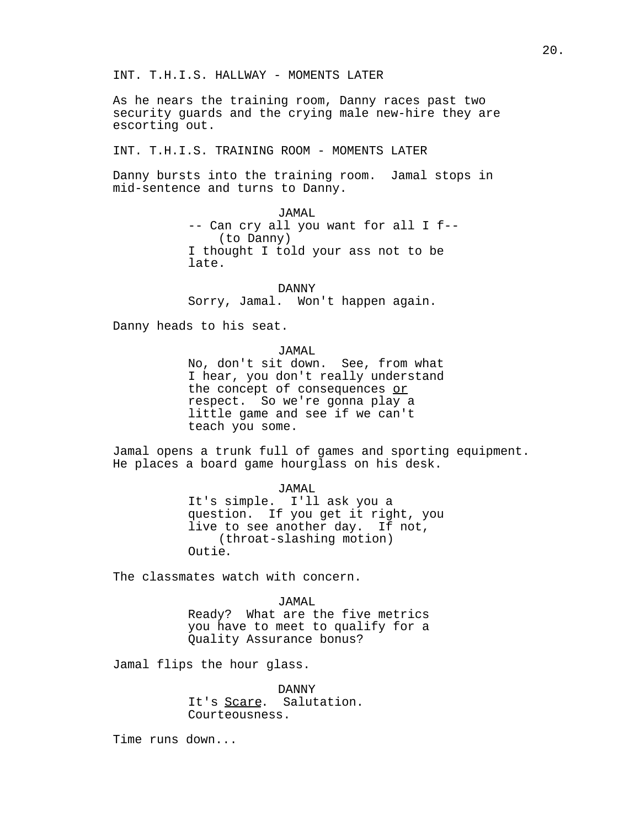INT. T.H.I.S. HALLWAY - MOMENTS LATER

As he nears the training room, Danny races past two security guards and the crying male new-hire they are escorting out.

INT. T.H.I.S. TRAINING ROOM - MOMENTS LATER

Danny bursts into the training room. Jamal stops in mid-sentence and turns to Danny.

> JAMAL -- Can cry all you want for all I f-- (to Danny) I thought I told your ass not to be late.

DANNY Sorry, Jamal. Won't happen again.

Danny heads to his seat.

JAMAL

No, don't sit down. See, from what I hear, you don't really understand the concept of consequences or respect. So we're gonna play a little game and see if we can't teach you some.

Jamal opens a trunk full of games and sporting equipment. He places a board game hourglass on his desk.

> JAMAL It's simple. I'll ask you a question. If you get it right, you live to see another day. If not, (throat-slashing motion) Outie.

The classmates watch with concern.

## JAMAL

Ready? What are the five metrics you have to meet to qualify for a Quality Assurance bonus?

Jamal flips the hour glass.

DANNY It's Scare. Salutation. Courteousness.

Time runs down...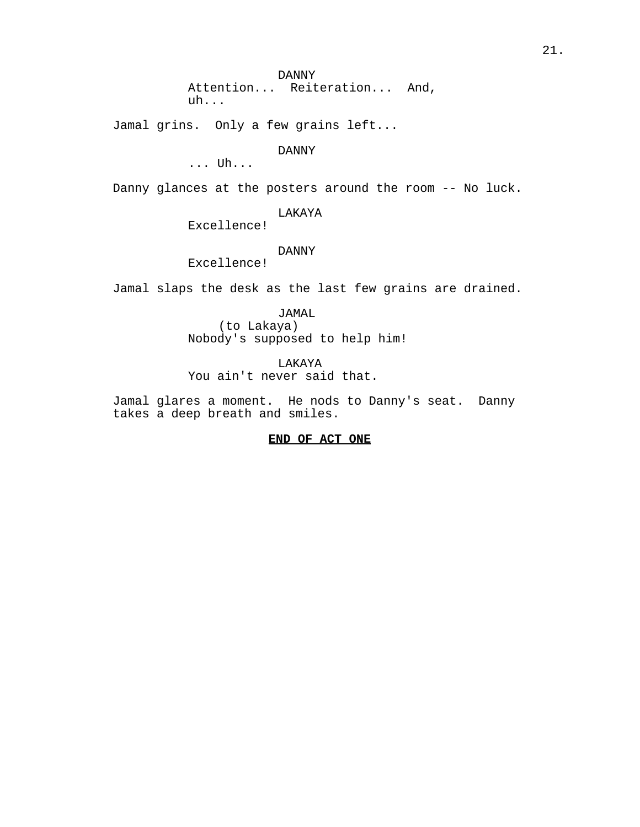DANNY Attention... Reiteration... And, uh...

Jamal grins. Only a few grains left...

DANNY

... Uh...

Danny glances at the posters around the room -- No luck.

# LAKAYA

Excellence!

## DANNY

Excellence!

Jamal slaps the desk as the last few grains are drained.

JAMAL (to Lakaya) Nobody's supposed to help him!

LAKAYA You ain't never said that.

Jamal glares a moment. He nods to Danny's seat. Danny takes a deep breath and smiles.

## **END OF ACT ONE**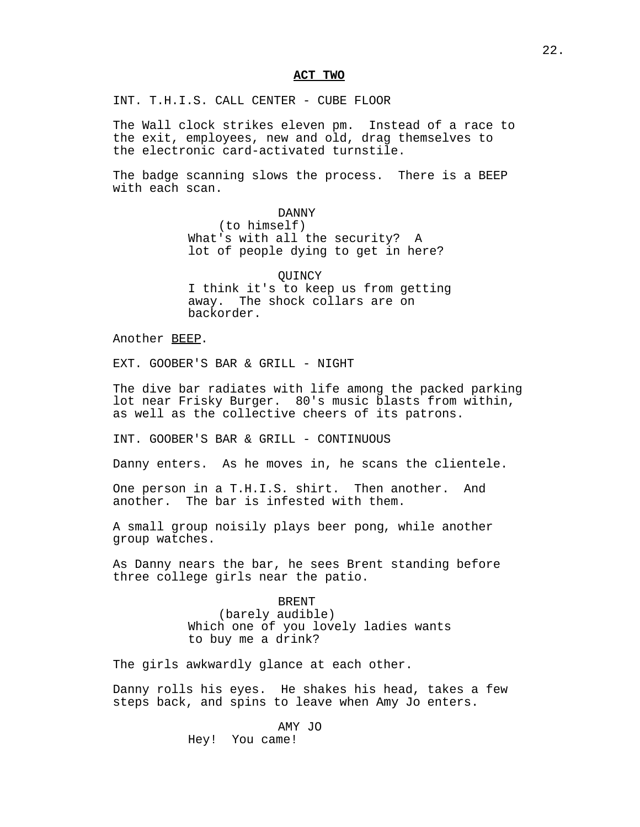## **ACT TWO**

INT. T.H.I.S. CALL CENTER - CUBE FLOOR

The Wall clock strikes eleven pm. Instead of a race to the exit, employees, new and old, drag themselves to the electronic card-activated turnstile.

The badge scanning slows the process. There is a BEEP with each scan.

> DANNY (to himself) What's with all the security? A lot of people dying to get in here?

**OUINCY** I think it's to keep us from getting away. The shock collars are on backorder.

Another BEEP.

EXT. GOOBER'S BAR & GRILL - NIGHT

The dive bar radiates with life among the packed parking lot near Frisky Burger. 80's music blasts from within, as well as the collective cheers of its patrons.

INT. GOOBER'S BAR & GRILL - CONTINUOUS

Danny enters. As he moves in, he scans the clientele.

One person in a T.H.I.S. shirt. Then another. And another. The bar is infested with them.

A small group noisily plays beer pong, while another group watches.

As Danny nears the bar, he sees Brent standing before three college girls near the patio.

> BRENT (barely audible) Which one of you lovely ladies wants to buy me a drink?

The girls awkwardly glance at each other.

Danny rolls his eyes. He shakes his head, takes a few steps back, and spins to leave when Amy Jo enters.

> AMY JO Hey! You came!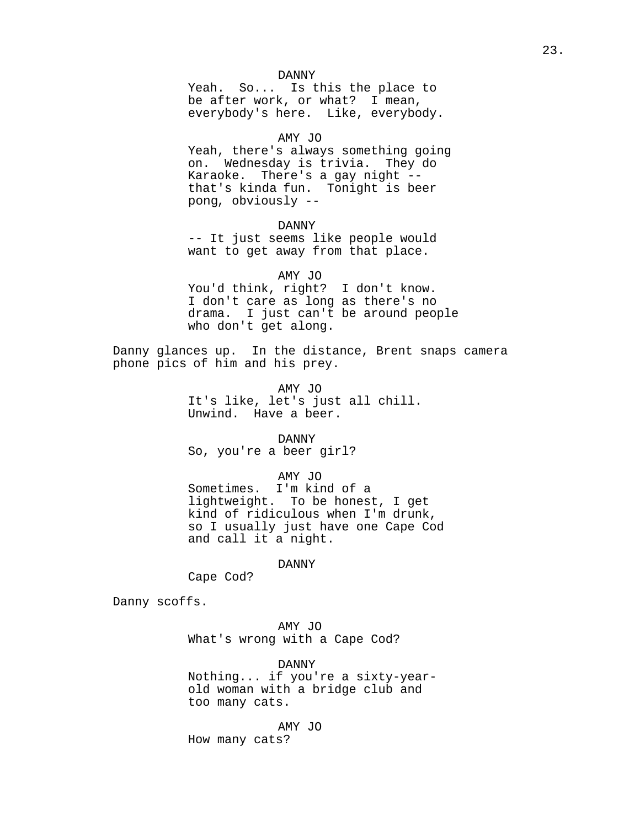### DANNY

Yeah. So... Is this the place to be after work, or what? I mean, everybody's here. Like, everybody.

### AMY JO

Yeah, there's always something going on. Wednesday is trivia. They do Karaoke. There's a gay night - that's kinda fun. Tonight is beer pong, obviously --

### DANNY

-- It just seems like people would want to get away from that place.

### AMY JO

You'd think, right? I don't know. I don't care as long as there's no drama. I just can't be around people who don't get along.

Danny glances up. In the distance, Brent snaps camera phone pics of him and his prey.

> AMY JO It's like, let's just all chill. Unwind. Have a beer.

### DANNY

So, you're a beer girl?

## AMY JO

Sometimes. I'm kind of a lightweight. To be honest, I get kind of ridiculous when I'm drunk, so I usually just have one Cape Cod and call it a night.

DANNY

Cape Cod?

Danny scoffs.

AMY JO What's wrong with a Cape Cod?

DANNY Nothing... if you're a sixty-yearold woman with a bridge club and too many cats.

AMY JO How many cats?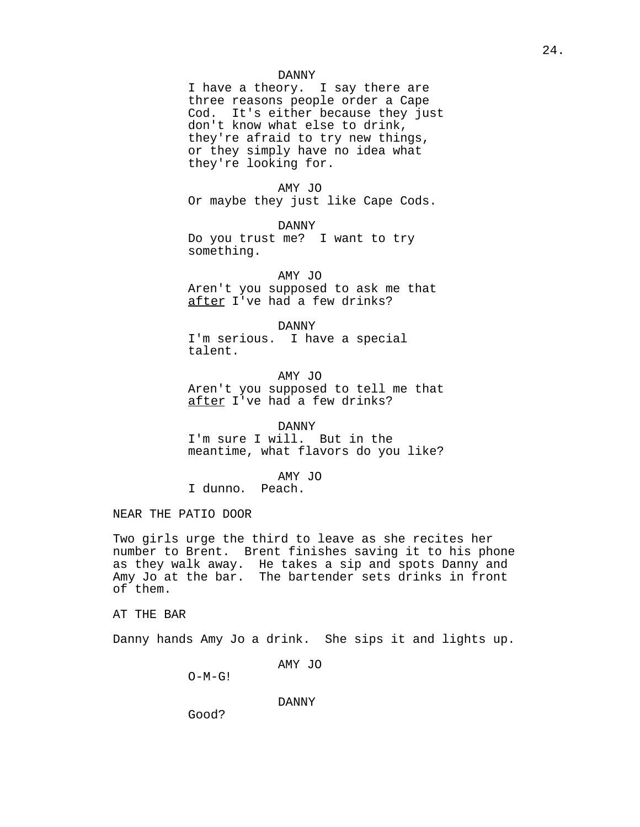## DANNY

I have a theory. I say there are three reasons people order a Cape Cod. It's either because they just don't know what else to drink, they're afraid to try new things, or they simply have no idea what they're looking for.

AMY JO Or maybe they just like Cape Cods.

DANNY Do you trust me? I want to try something.

AMY JO Aren't you supposed to ask me that after I've had a few drinks?

DANNY I'm serious. I have a special talent.

AMY JO Aren't you supposed to tell me that after I've had a few drinks?

DANNY

I'm sure I will. But in the meantime, what flavors do you like?

AMY JO

I dunno. Peach.

NEAR THE PATIO DOOR

Two girls urge the third to leave as she recites her number to Brent. Brent finishes saving it to his phone as they walk away. He takes a sip and spots Danny and Amy Jo at the bar. The bartender sets drinks in front of them.

AT THE BAR

Danny hands Amy Jo a drink. She sips it and lights up.

AMY JO

 $O-M-G!$ 

DANNY

Good?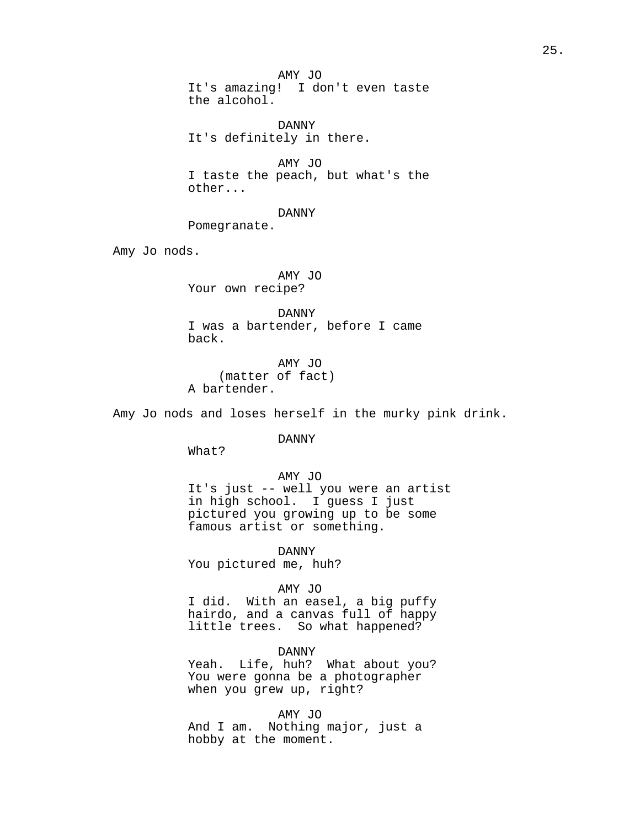AMY JO It's amazing! I don't even taste the alcohol.

DANNY It's definitely in there.

AMY JO I taste the peach, but what's the other...

DANNY

Pomegranate.

Amy Jo nods.

AMY JO Your own recipe?

DANNY I was a bartender, before I came back.

AMY JO (matter of fact) A bartender.

Amy Jo nods and loses herself in the murky pink drink.

DANNY

What?

AMY JO It's just -- well you were an artist in high school. I guess I just pictured you growing up to be some famous artist or something.

DANNY You pictured me, huh?

AMY JO

I did. With an easel, a big puffy hairdo, and a canvas full of happy little trees. So what happened?

DANNY

Yeah. Life, huh? What about you? You were gonna be a photographer when you grew up, right?

AMY JO And I am. Nothing major, just a hobby at the moment.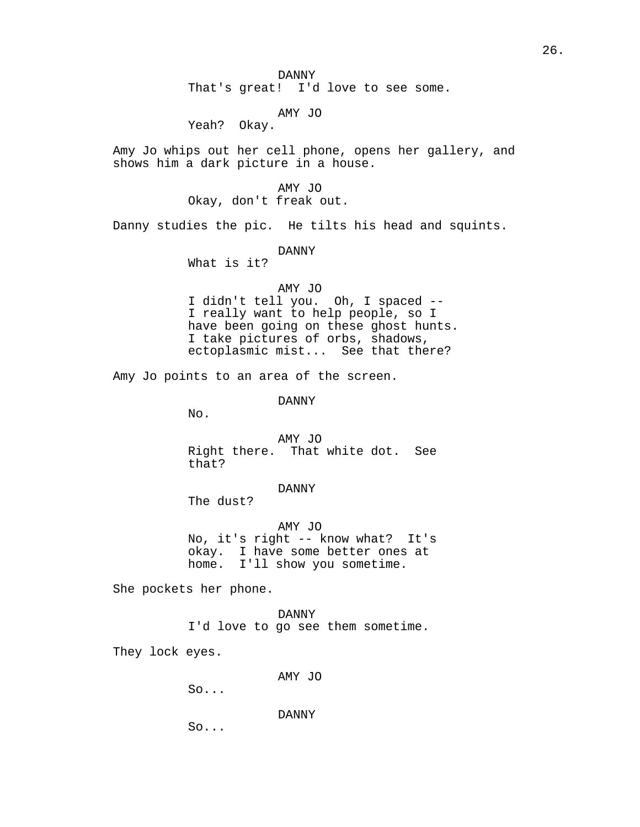DANNY That's great! I'd love to see some.

AMY JO

Yeah? Okay.

Amy Jo whips out her cell phone, opens her gallery, and shows him a dark picture in a house.

> AMY JO Okay, don't freak out.

Danny studies the pic. He tilts his head and squints.

DANNY

What is it?

AMY JO

I didn't tell you. Oh, I spaced -- I really want to help people, so I have been going on these ghost hunts. I take pictures of orbs, shadows, ectoplasmic mist... See that there?

Amy Jo points to an area of the screen.

DANNY

No.

AMY JO Right there. That white dot. See that?

DANNY

The dust?

AMY JO No, it's right -- know what? It's okay. I have some better ones at home. I'll show you sometime.

She pockets her phone.

DANNY I'd love to go see them sometime.

They lock eyes.

AMY JO

So...

DANNY

So...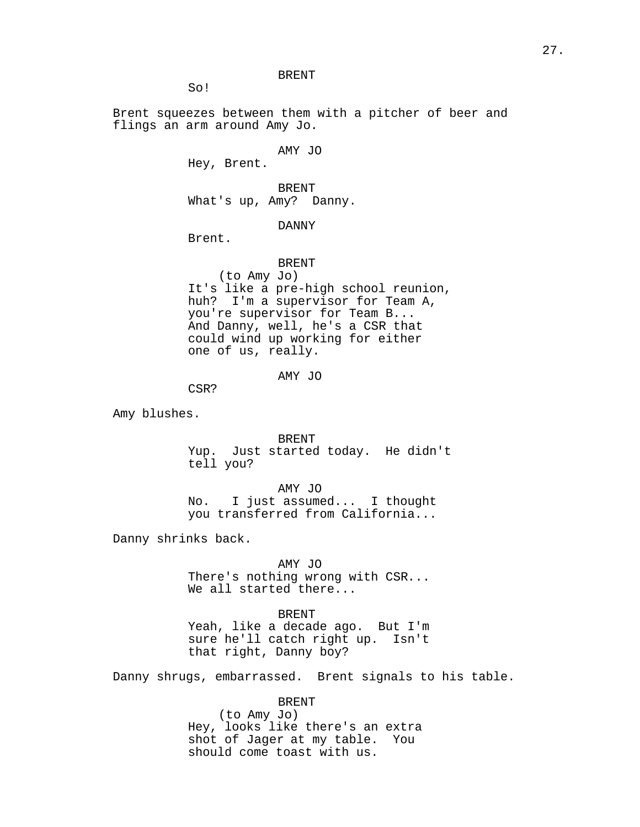BRENT

So!

Brent squeezes between them with a pitcher of beer and flings an arm around Amy Jo.

AMY JO

Hey, Brent.

BRENT What's up, Amy? Danny.

DANNY

Brent.

BRENT (to Amy Jo) It's like a pre-high school reunion, huh? I'm a supervisor for Team A, you're supervisor for Team B... And Danny, well, he's a CSR that could wind up working for either one of us, really.

AMY JO

CSR?

Amy blushes.

BRENT

Yup. Just started today. He didn't tell you?

AMY JO No. I just assumed... I thought you transferred from California...

Danny shrinks back.

AMY JO

There's nothing wrong with CSR... We all started there...

## BRENT

Yeah, like a decade ago. But I'm sure he'll catch right up. Isn't that right, Danny boy?

Danny shrugs, embarrassed. Brent signals to his table.

BRENT

(to Amy Jo) Hey, looks like there's an extra<br>shot of Jager at my table. You shot of Jager at my table. should come toast with us.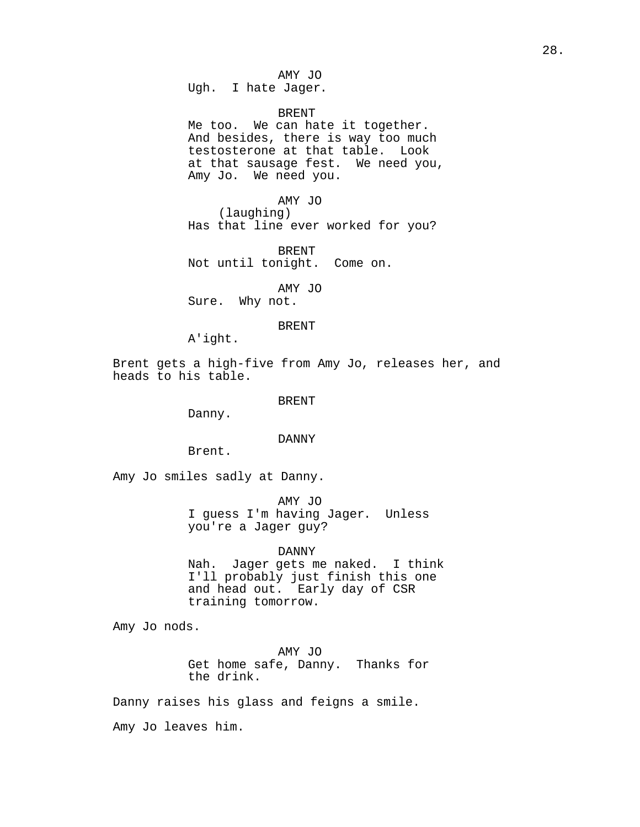AMY JO Ugh. I hate Jager.

BRENT

Me too. We can hate it together. And besides, there is way too much testosterone at that table. Look at that sausage fest. We need you, Amy Jo. We need you.

AMY JO (laughing) Has that line ever worked for you?

BRENT Not until tonight. Come on.

AMY JO Sure. Why not.

BRENT

A'ight.

Brent gets a high-five from Amy Jo, releases her, and heads to his table.

BRENT

Danny.

#### DANNY

Brent.

Amy Jo smiles sadly at Danny.

AMY JO I guess I'm having Jager. Unless you're a Jager guy?

### DANNY

Nah. Jager gets me naked. I think I'll probably just finish this one and head out. Early day of CSR training tomorrow.

Amy Jo nods.

AMY JO Get home safe, Danny. Thanks for the drink.

Danny raises his glass and feigns a smile.

Amy Jo leaves him.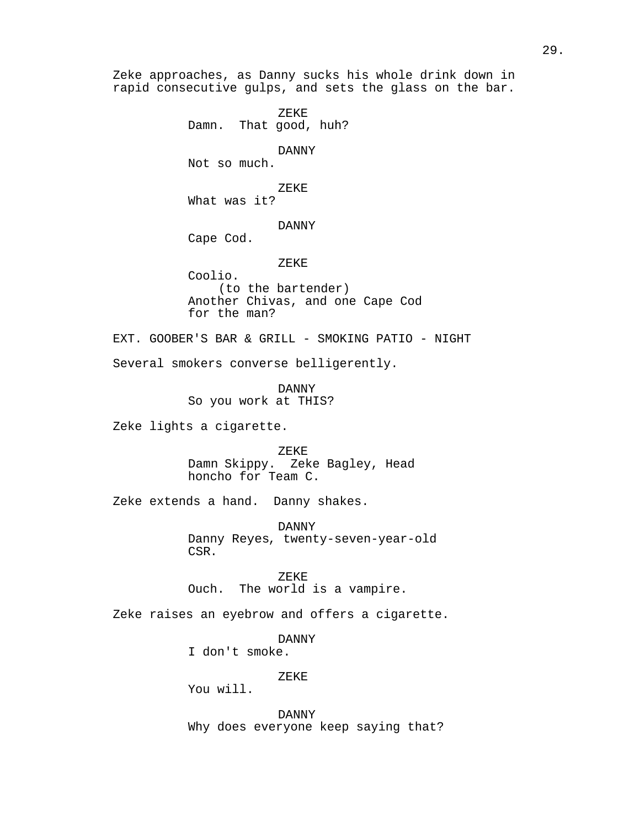Zeke approaches, as Danny sucks his whole drink down in rapid consecutive gulps, and sets the glass on the bar. ZEKE Damn. That good, huh? DANNY Not so much. ZEKE What was it? DANNY Cape Cod. ZEKE Coolio. (to the bartender) Another Chivas, and one Cape Cod for the man? EXT. GOOBER'S BAR & GRILL - SMOKING PATIO - NIGHT Several smokers converse belligerently. DANNY So you work at THIS? Zeke lights a cigarette. ZEKE Damn Skippy. Zeke Bagley, Head honcho for Team C. Zeke extends a hand. Danny shakes. DANNY Danny Reyes, twenty-seven-year-old CSR. ZEKE Ouch. The world is a vampire. Zeke raises an eyebrow and offers a cigarette. DANNY I don't smoke. ZEKE You will. DANNY Why does everyone keep saying that?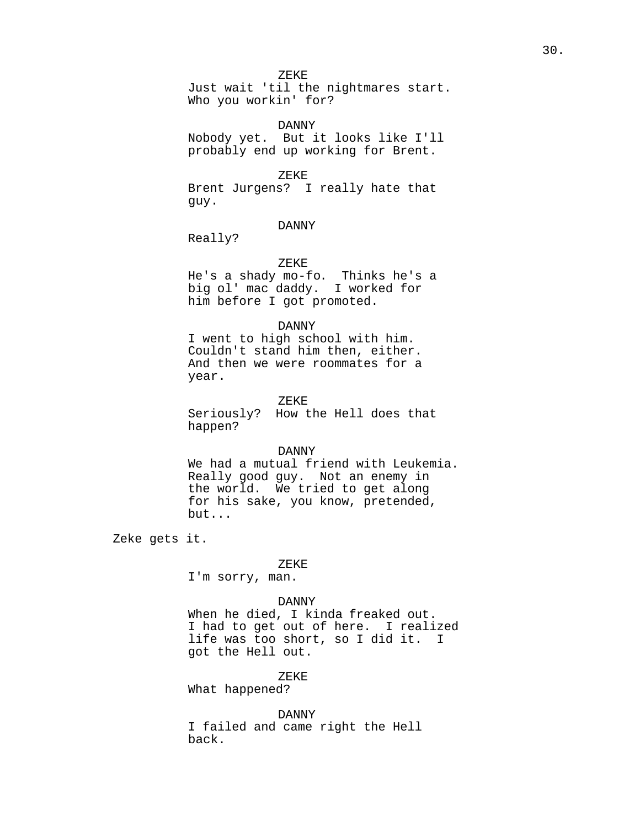ZEKE

Just wait 'til the nightmares start. Who you workin' for?

DANNY Nobody yet. But it looks like I'll probably end up working for Brent.

## ZEKE

Brent Jurgens? I really hate that guy.

## DANNY

Really?

## ZEKE

He's a shady mo-fo. Thinks he's a big ol' mac daddy. I worked for him before I got promoted.

## DANNY

I went to high school with him. Couldn't stand him then, either. And then we were roommates for a year.

#### ZEKE

Seriously? How the Hell does that happen?

#### DANNY

We had a mutual friend with Leukemia. Really good guy. Not an enemy in the world. We tried to get along for his sake, you know, pretended, but...

Zeke gets it.

#### ZEKE

I'm sorry, man.

## DANNY

When he died, I kinda freaked out. I had to get out of here. I realized life was too short, so I did it. I got the Hell out.

### ZEKE

What happened?

DANNY

I failed and came right the Hell back.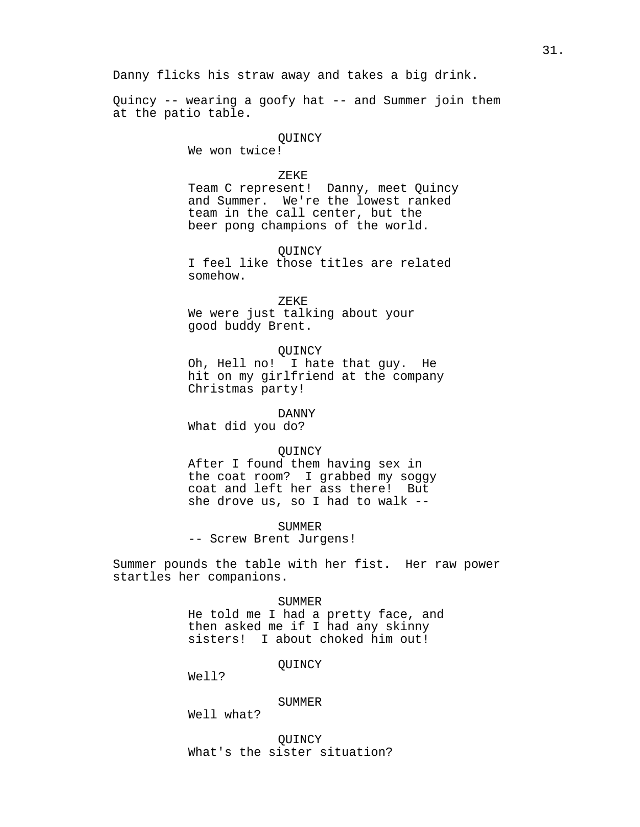Danny flicks his straw away and takes a big drink.

Quincy -- wearing a goofy hat -- and Summer join them at the patio table.

# **OUINCY**

We won twice!

#### ZEKE

Team C represent! Danny, meet Quincy and Summer. We're the lowest ranked team in the call center, but the beer pong champions of the world.

**OUINCY** 

I feel like those titles are related somehow.

ZEKE

We were just talking about your good buddy Brent.

QUINCY

Oh, Hell no! I hate that guy. He hit on my girlfriend at the company Christmas party!

#### DANNY

What did you do?

#### **OUINCY**

After I found them having sex in the coat room? I grabbed my soggy coat and left her ass there! But she drove us, so I had to walk --

SUMMER

-- Screw Brent Jurgens!

Summer pounds the table with her fist. Her raw power startles her companions.

### SUMMER

He told me I had a pretty face, and then asked me if I had any skinny sisters! I about choked him out!

**OUINCY** 

Well?

#### SUMMER

Well what?

**OUINCY** What's the sister situation?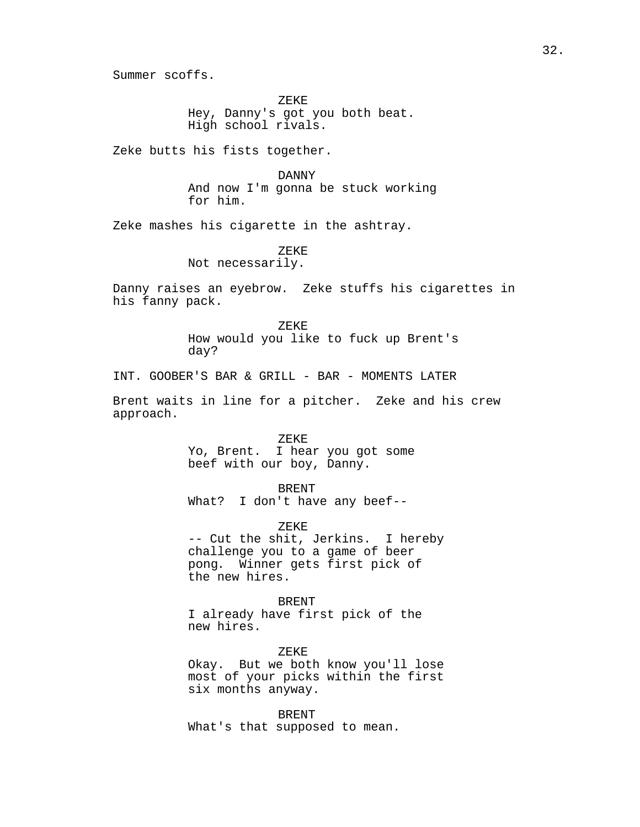Summer scoffs.

ZEKE Hey, Danny's got you both beat. High school rivals.

Zeke butts his fists together.

DANNY And now I'm gonna be stuck working for him.

Zeke mashes his cigarette in the ashtray.

ZEKE

Not necessarily.

Danny raises an eyebrow. Zeke stuffs his cigarettes in his fanny pack.

ZEKE

How would you like to fuck up Brent's day?

INT. GOOBER'S BAR & GRILL - BAR - MOMENTS LATER

Brent waits in line for a pitcher. Zeke and his crew approach.

> ZEKE Yo, Brent. I hear you got some beef with our boy, Danny.

BRENT What? I don't have any beef--

ZEKE -- Cut the shit, Jerkins. I hereby

challenge you to a game of beer pong. Winner gets first pick of the new hires.

## BRENT

I already have first pick of the new hires.

ZEKE Okay. But we both know you'll lose most of your picks within the first six months anyway.

BRENT What's that supposed to mean.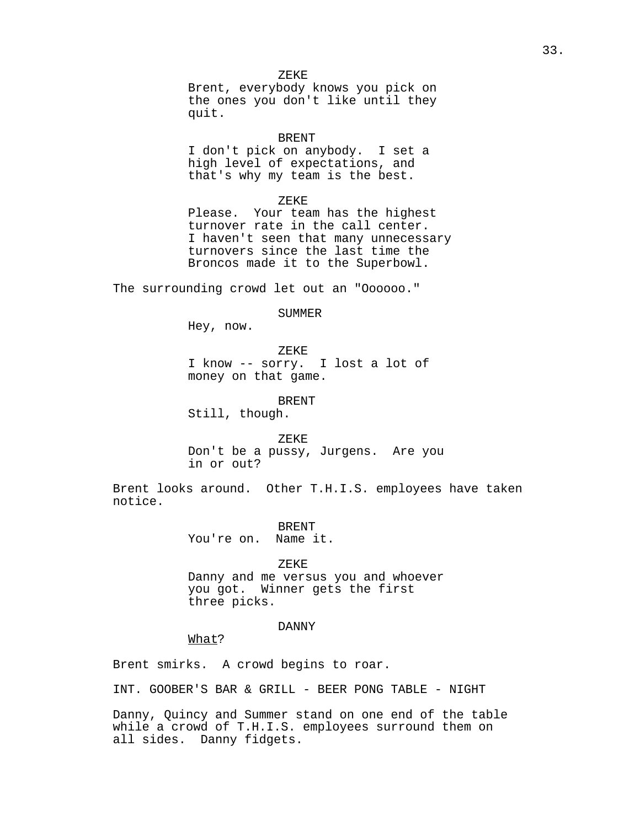ZEKE Brent, everybody knows you pick on the ones you don't like until they quit.

BRENT

I don't pick on anybody. I set a high level of expectations, and that's why my team is the best.

ZEKE

Please. Your team has the highest turnover rate in the call center. I haven't seen that many unnecessary turnovers since the last time the Broncos made it to the Superbowl.

The surrounding crowd let out an "Oooooo."

SUMMER

Hey, now.

ZEKE

I know -- sorry. I lost a lot of money on that game.

BRENT

Still, though.

ZEKE Don't be a pussy, Jurgens. Are you in or out?

Brent looks around. Other T.H.I.S. employees have taken notice.

> BRENT You're on. Name it.

> > ZEKE

Danny and me versus you and whoever you got. Winner gets the first three picks.

## DANNY

What?

Brent smirks. A crowd begins to roar.

INT. GOOBER'S BAR & GRILL - BEER PONG TABLE - NIGHT

Danny, Quincy and Summer stand on one end of the table while a crowd of T.H.I.S. employees surround them on all sides. Danny fidgets.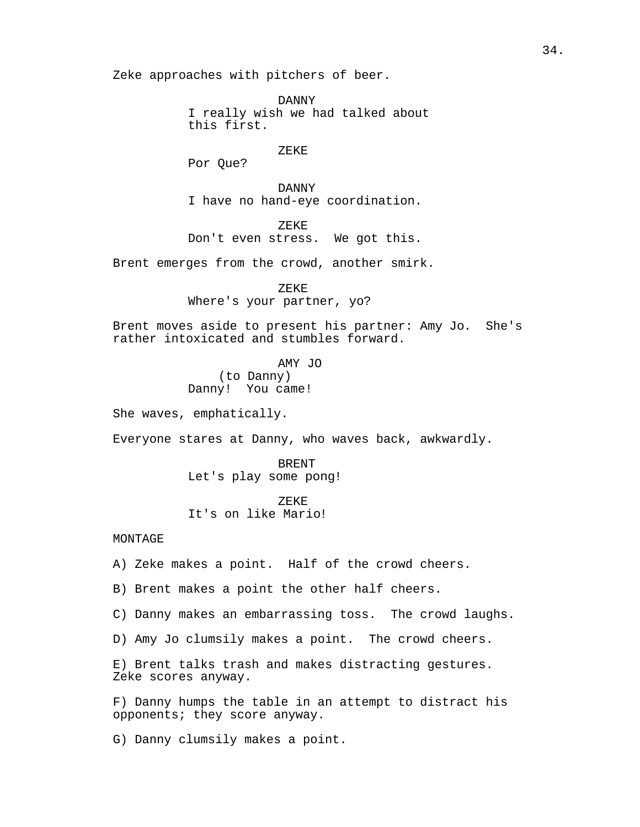Zeke approaches with pitchers of beer.

DANNY I really wish we had talked about this first.

ZEKE

Por Que?

DANNY I have no hand-eye coordination.

ZEKE Don't even stress. We got this.

Brent emerges from the crowd, another smirk.

ZEKE

Where's your partner, yo?

Brent moves aside to present his partner: Amy Jo. She's rather intoxicated and stumbles forward.

> AMY JO (to Danny) Danny! You came!

She waves, emphatically.

Everyone stares at Danny, who waves back, awkwardly.

BRENT Let's play some pong!

ZEKE It's on like Mario!

## MONTAGE

A) Zeke makes a point. Half of the crowd cheers.

B) Brent makes a point the other half cheers.

C) Danny makes an embarrassing toss. The crowd laughs.

D) Amy Jo clumsily makes a point. The crowd cheers.

E) Brent talks trash and makes distracting gestures. Zeke scores anyway.

F) Danny humps the table in an attempt to distract his opponents; they score anyway.

G) Danny clumsily makes a point.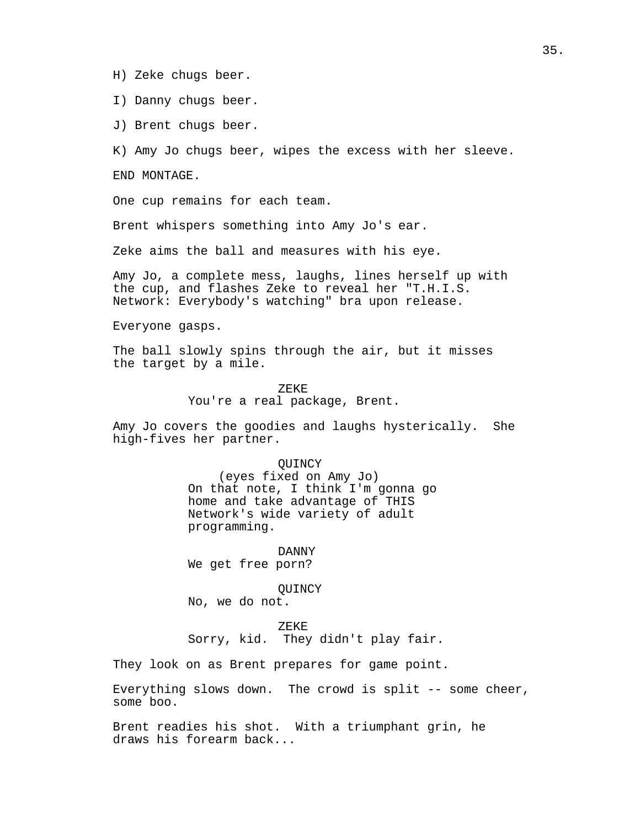- H) Zeke chugs beer.
- I) Danny chugs beer.
- J) Brent chugs beer.

K) Amy Jo chugs beer, wipes the excess with her sleeve.

END MONTAGE.

One cup remains for each team.

Brent whispers something into Amy Jo's ear.

Zeke aims the ball and measures with his eye.

Amy Jo, a complete mess, laughs, lines herself up with the cup, and flashes Zeke to reveal her "T.H.I.S. Network: Everybody's watching" bra upon release.

Everyone gasps.

The ball slowly spins through the air, but it misses the target by a mile.

ZEKE

You're a real package, Brent.

Amy Jo covers the goodies and laughs hysterically. She high-fives her partner.

### **OUINCY**

(eyes fixed on Amy Jo) On that note, I think I'm gonna go home and take advantage of THIS Network's wide variety of adult programming.

DANNY We get free porn?

**OUINCY** 

No, we do not.

ZEKE

Sorry, kid. They didn't play fair.

They look on as Brent prepares for game point.

Everything slows down. The crowd is split -- some cheer, some boo.

Brent readies his shot. With a triumphant grin, he draws his forearm back...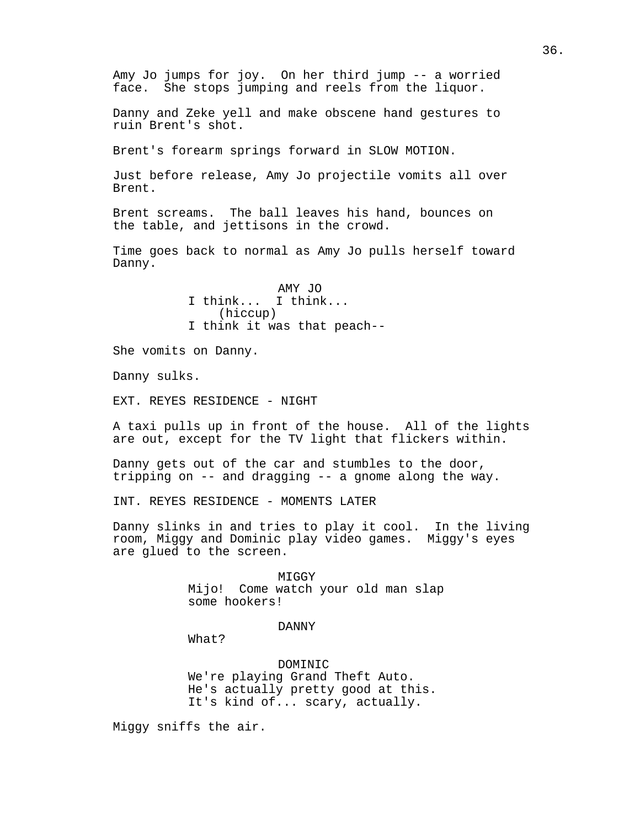Amy Jo jumps for joy. On her third jump -- a worried face. She stops jumping and reels from the liquor.

Danny and Zeke yell and make obscene hand gestures to ruin Brent's shot.

Brent's forearm springs forward in SLOW MOTION.

Just before release, Amy Jo projectile vomits all over Brent.

Brent screams. The ball leaves his hand, bounces on the table, and jettisons in the crowd.

Time goes back to normal as Amy Jo pulls herself toward Danny.

> AMY JO I think... I think... (hiccup) I think it was that peach--

She vomits on Danny.

Danny sulks.

EXT. REYES RESIDENCE - NIGHT

A taxi pulls up in front of the house. All of the lights are out, except for the TV light that flickers within.

Danny gets out of the car and stumbles to the door, tripping on -- and dragging -- a gnome along the way.

INT. REYES RESIDENCE - MOMENTS LATER

Danny slinks in and tries to play it cool. In the living room, Miggy and Dominic play video games. Miggy's eyes are glued to the screen.

> **MTGGY** Mijo! Come watch your old man slap some hookers!

> > DANNY

What?

DOMINIC We're playing Grand Theft Auto. He's actually pretty good at this. It's kind of... scary, actually.

Miggy sniffs the air.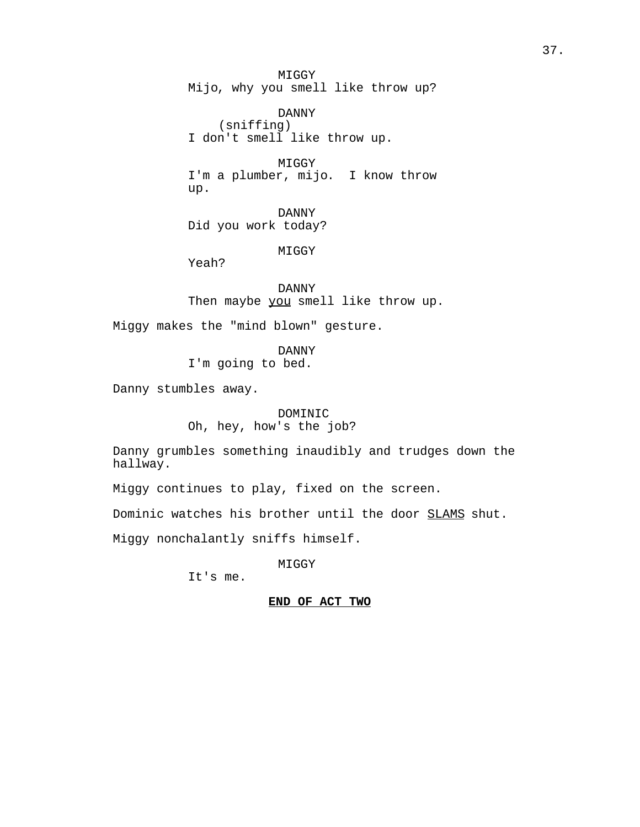MIGGY Mijo, why you smell like throw up?

DANNY (sniffing) I don't smell like throw up.

**MTGGY** I'm a plumber, mijo. I know throw up.

DANNY Did you work today?

MIGGY

Yeah?

DANNY Then maybe you smell like throw up.

Miggy makes the "mind blown" gesture.

DANNY I'm going to bed.

Danny stumbles away.

DOMINIC Oh, hey, how's the job?

Danny grumbles something inaudibly and trudges down the hallway.

Miggy continues to play, fixed on the screen.

Dominic watches his brother until the door SLAMS shut.

Miggy nonchalantly sniffs himself.

MIGGY

It's me.

## **END OF ACT TWO**